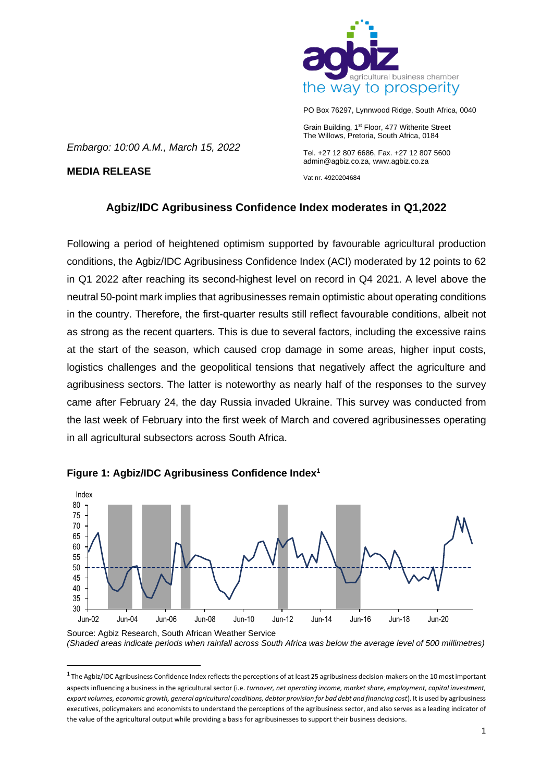

PO Box 76297, Lynnwood Ridge, South Africa, 0040

Grain Building, 1<sup>st</sup> Floor, 477 Witherite Street The Willows, Pretoria, South Africa, 0184

Tel. +27 12 807 6686, Fax. +27 12 807 5600 admin@agbiz.co.za, www.agbiz.co.za

Vat nr. 4920204684

# **Agbiz/IDC Agribusiness Confidence Index moderates in Q1,2022**

Following a period of heightened optimism supported by favourable agricultural production conditions, the Agbiz/IDC Agribusiness Confidence Index (ACI) moderated by 12 points to 62 in Q1 2022 after reaching its second-highest level on record in Q4 2021. A level above the neutral 50-point mark implies that agribusinesses remain optimistic about operating conditions in the country. Therefore, the first-quarter results still reflect favourable conditions, albeit not as strong as the recent quarters. This is due to several factors, including the excessive rains at the start of the season, which caused crop damage in some areas, higher input costs, logistics challenges and the geopolitical tensions that negatively affect the agriculture and agribusiness sectors. The latter is noteworthy as nearly half of the responses to the survey came after February 24, the day Russia invaded Ukraine. This survey was conducted from the last week of February into the first week of March and covered agribusinesses operating in all agricultural subsectors across South Africa.



# **Figure 1: Agbiz/IDC Agribusiness Confidence Index<sup>1</sup>**

*Embargo: 10:00 A.M., March 15, 2022*

**MEDIA RELEASE**

*(Shaded areas indicate periods when rainfall across South Africa was below the average level of 500 millimetres)*

 $^1$  The Agbiz/IDC Agribusiness Confidence Index reflects the perceptions of at least 25 agribusiness decision-makers on the 10 most important aspects influencing a business in the agricultural sector (i.e. *turnover, net operating income, market share, employment, capital investment, export volumes, economic growth, general agricultural conditions, debtor provision for bad debt and financing cost*). It is used by agribusiness executives, policymakers and economists to understand the perceptions of the agribusiness sector, and also serves as a leading indicator of the value of the agricultural output while providing a basis for agribusinesses to support their business decisions.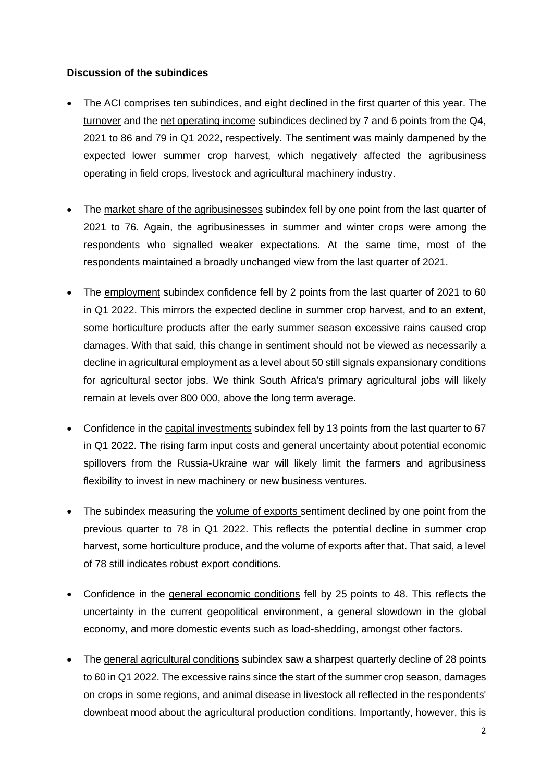## **Discussion of the subindices**

- The ACI comprises ten subindices, and eight declined in the first quarter of this year. The turnover and the net operating income subindices declined by 7 and 6 points from the Q4, 2021 to 86 and 79 in Q1 2022, respectively. The sentiment was mainly dampened by the expected lower summer crop harvest, which negatively affected the agribusiness operating in field crops, livestock and agricultural machinery industry.
- The market share of the agribusinesses subindex fell by one point from the last quarter of 2021 to 76. Again, the agribusinesses in summer and winter crops were among the respondents who signalled weaker expectations. At the same time, most of the respondents maintained a broadly unchanged view from the last quarter of 2021.
- The employment subindex confidence fell by 2 points from the last quarter of 2021 to 60 in Q1 2022. This mirrors the expected decline in summer crop harvest, and to an extent, some horticulture products after the early summer season excessive rains caused crop damages. With that said, this change in sentiment should not be viewed as necessarily a decline in agricultural employment as a level about 50 still signals expansionary conditions for agricultural sector jobs. We think South Africa's primary agricultural jobs will likely remain at levels over 800 000, above the long term average.
- Confidence in the capital investments subindex fell by 13 points from the last quarter to 67 in Q1 2022. The rising farm input costs and general uncertainty about potential economic spillovers from the Russia-Ukraine war will likely limit the farmers and agribusiness flexibility to invest in new machinery or new business ventures.
- The subindex measuring the volume of exports sentiment declined by one point from the previous quarter to 78 in Q1 2022. This reflects the potential decline in summer crop harvest, some horticulture produce, and the volume of exports after that. That said, a level of 78 still indicates robust export conditions.
- Confidence in the general economic conditions fell by 25 points to 48. This reflects the uncertainty in the current geopolitical environment, a general slowdown in the global economy, and more domestic events such as load-shedding, amongst other factors.
- The general agricultural conditions subindex saw a sharpest quarterly decline of 28 points to 60 in Q1 2022. The excessive rains since the start of the summer crop season, damages on crops in some regions, and animal disease in livestock all reflected in the respondents' downbeat mood about the agricultural production conditions. Importantly, however, this is